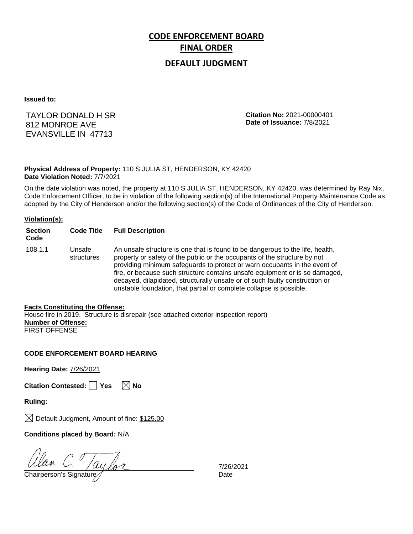# **CODE ENFORCEMENT BOARD FINAL ORDER**

### **DEFAULT JUDGMENT**

**Issued to:**

TAYLOR DONALD H SR 812 MONROE AVE EVANSVILLE IN 47713

**Citation No:** 2021-00000401 **Date of Issuance:** 7/8/2021

#### **Physical Address of Property:** 110 S JULIA ST, HENDERSON, KY 42420 **Date Violation Noted:** 7/7/2021

On the date violation was noted, the property at 110 S JULIA ST, HENDERSON, KY 42420. was determined by Ray Nix, Code Enforcement Officer, to be in violation of the following section(s) of the International Property Maintenance Code as adopted by the City of Henderson and/or the following section(s) of the Code of Ordinances of the City of Henderson.

#### **Violation(s):**

| <b>Section</b><br>Code | <b>Code Title</b>    | <b>Full Description</b>                                                                                                                                                                                                                                                                                                                                                                                                                                                      |
|------------------------|----------------------|------------------------------------------------------------------------------------------------------------------------------------------------------------------------------------------------------------------------------------------------------------------------------------------------------------------------------------------------------------------------------------------------------------------------------------------------------------------------------|
| 108.1.1                | Unsafe<br>structures | An unsafe structure is one that is found to be dangerous to the life, health,<br>property or safety of the public or the occupants of the structure by not<br>providing minimum safeguards to protect or warn occupants in the event of<br>fire, or because such structure contains unsafe equipment or is so damaged,<br>decayed, dilapidated, structurally unsafe or of such faulty construction or<br>unstable foundation, that partial or complete collapse is possible. |

#### **Facts Constituting the Offense:**

House fire in 2019. Structure is disrepair (see attached exterior inspection report) **Number of Offense:** FIRST OFFENSE

#### **CODE ENFORCEMENT BOARD HEARING**

**Hearing Date:** 7/26/2021

|  | Citation Contested: Yes |  | $\boxtimes$ No |
|--|-------------------------|--|----------------|
|--|-------------------------|--|----------------|

**Ruling:**

 $\boxtimes$  Default Judgment, Amount of fine: \$125.00

**Conditions placed by Board:** N/A

 $\frac{d}{d}$  C.  $\frac{1}{d}$  C.  $\frac{1}{d}$  C.  $\frac{1}{d}$  Chairperson's Signature  $\frac{1}{d}$ 

7/26/2021